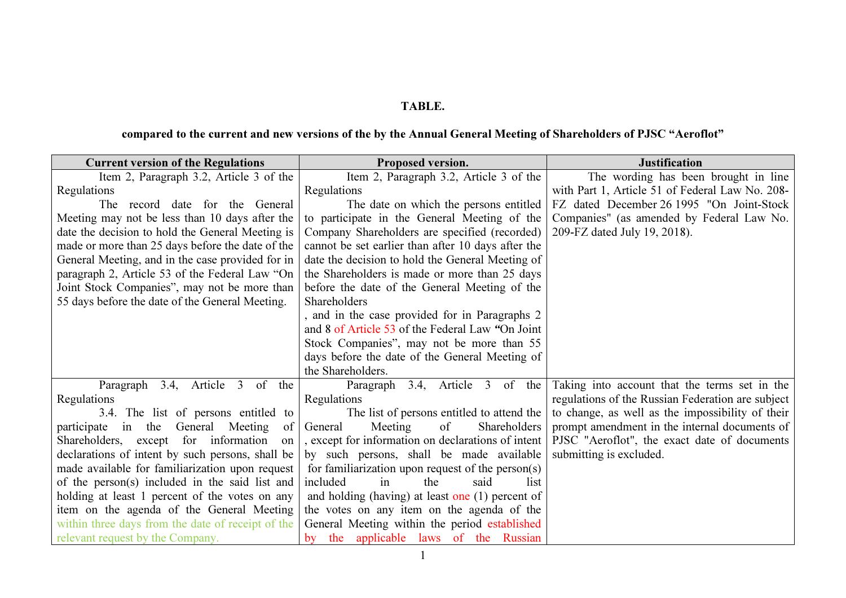## TABLE.

## compared to the current and new versions of the by the Annual General Meeting of Shareholders of PJSC "Aeroflot"

| <b>Current version of the Regulations</b>         | Proposed version.                                             | <b>Justification</b>                              |
|---------------------------------------------------|---------------------------------------------------------------|---------------------------------------------------|
| Item 2, Paragraph 3.2, Article 3 of the           | Item 2, Paragraph 3.2, Article 3 of the                       | The wording has been brought in line              |
| Regulations                                       | Regulations                                                   | with Part 1, Article 51 of Federal Law No. 208-   |
| The record date for the General                   | The date on which the persons entitled                        | FZ dated December 26 1995 "On Joint-Stock         |
| Meeting may not be less than 10 days after the    | to participate in the General Meeting of the                  | Companies" (as amended by Federal Law No.         |
| date the decision to hold the General Meeting is  | Company Shareholders are specified (recorded)                 | 209-FZ dated July 19, 2018).                      |
| made or more than 25 days before the date of the  | cannot be set earlier than after 10 days after the            |                                                   |
| General Meeting, and in the case provided for in  | date the decision to hold the General Meeting of              |                                                   |
| paragraph 2, Article 53 of the Federal Law "On    | the Shareholders is made or more than 25 days                 |                                                   |
| Joint Stock Companies", may not be more than      | before the date of the General Meeting of the                 |                                                   |
| 55 days before the date of the General Meeting.   | Shareholders                                                  |                                                   |
|                                                   | , and in the case provided for in Paragraphs 2                |                                                   |
|                                                   | and 8 of Article 53 of the Federal Law "On Joint"             |                                                   |
|                                                   | Stock Companies", may not be more than 55                     |                                                   |
|                                                   | days before the date of the General Meeting of                |                                                   |
|                                                   | the Shareholders.                                             |                                                   |
| Paragraph 3.4, Article 3 of the                   | 3.4, Article 3 of the<br>Paragraph                            | Taking into account that the terms set in the     |
| Regulations                                       | Regulations                                                   | regulations of the Russian Federation are subject |
| 3.4. The list of persons entitled to              | The list of persons entitled to attend the                    | to change, as well as the impossibility of their  |
| participate in the<br>General Meeting<br>of       | General<br>Meeting<br>Shareholders<br>of                      | prompt amendment in the internal documents of     |
| Shareholders, except for information<br>on        | , except for information on declarations of intent            | PJSC "Aeroflot", the exact date of documents      |
| declarations of intent by such persons, shall be  | by such persons, shall be made available                      | submitting is excluded.                           |
| made available for familiarization upon request   | for familiarization upon request of the person(s)             |                                                   |
| of the person(s) included in the said list and    | included<br>in<br>the<br>said<br>list                         |                                                   |
| holding at least 1 percent of the votes on any    | and holding (having) at least one $(1)$ percent of            |                                                   |
| item on the agenda of the General Meeting         | the votes on any item on the agenda of the                    |                                                   |
| within three days from the date of receipt of the | General Meeting within the period established                 |                                                   |
| relevant request by the Company.                  | the applicable laws of the Russian<br>$\mathbf{b} \mathbf{v}$ |                                                   |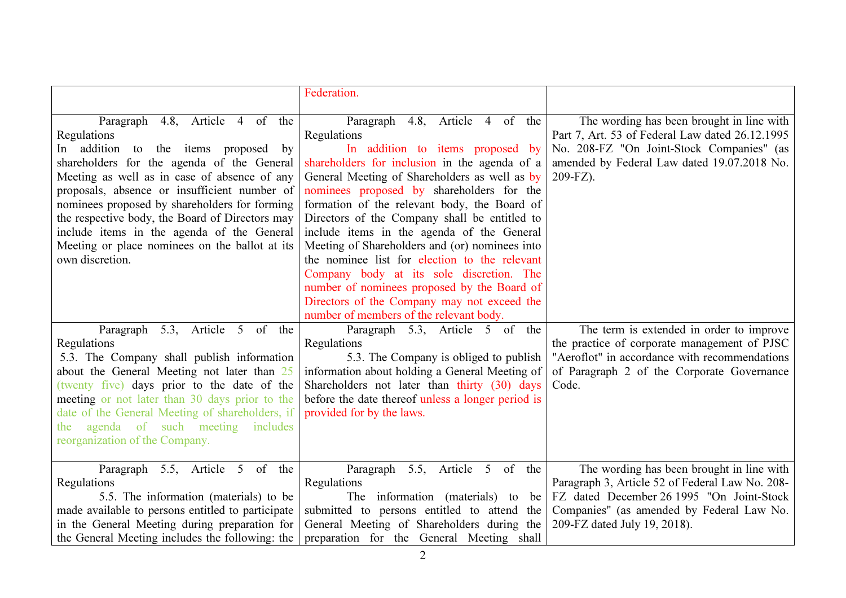|                                                                                                                                                                                                                                                                                                                                                                                                                                                                      | Federation.                                                                                                                                                                                                                                                                                                                                                                                                                                                                                                                                                                                                                                                                 |                                                                                                                                                                                                                        |
|----------------------------------------------------------------------------------------------------------------------------------------------------------------------------------------------------------------------------------------------------------------------------------------------------------------------------------------------------------------------------------------------------------------------------------------------------------------------|-----------------------------------------------------------------------------------------------------------------------------------------------------------------------------------------------------------------------------------------------------------------------------------------------------------------------------------------------------------------------------------------------------------------------------------------------------------------------------------------------------------------------------------------------------------------------------------------------------------------------------------------------------------------------------|------------------------------------------------------------------------------------------------------------------------------------------------------------------------------------------------------------------------|
| 4.8, Article 4 of the<br>Paragraph<br>Regulations<br>In addition<br>the items proposed by<br>to<br>shareholders for the agenda of the General<br>Meeting as well as in case of absence of any<br>proposals, absence or insufficient number of<br>nominees proposed by shareholders for forming<br>the respective body, the Board of Directors may<br>include items in the agenda of the General<br>Meeting or place nominees on the ballot at its<br>own discretion. | 4.8, Article 4 of the<br>Paragraph<br>Regulations<br>In addition to items proposed by<br>shareholders for inclusion in the agenda of a<br>General Meeting of Shareholders as well as by<br>nominees proposed by shareholders for the<br>formation of the relevant body, the Board of<br>Directors of the Company shall be entitled to<br>include items in the agenda of the General<br>Meeting of Shareholders and (or) nominees into<br>the nominee list for election to the relevant<br>Company body at its sole discretion. The<br>number of nominees proposed by the Board of<br>Directors of the Company may not exceed the<br>number of members of the relevant body. | The wording has been brought in line with<br>Part 7, Art. 53 of Federal Law dated 26.12.1995<br>No. 208-FZ "On Joint-Stock Companies" (as<br>amended by Federal Law dated 19.07.2018 No.<br>209-FZ).                   |
| 5.3, Article 5 of the<br>Paragraph<br>Regulations<br>5.3. The Company shall publish information<br>about the General Meeting not later than 25<br>(twenty five) days prior to the date of the<br>meeting or not later than 30 days prior to the<br>date of the General Meeting of shareholders, if<br>the agenda of such meeting<br>includes<br>reorganization of the Company.                                                                                       | Paragraph 5.3, Article 5 of the<br>Regulations<br>5.3. The Company is obliged to publish<br>information about holding a General Meeting of<br>Shareholders not later than thirty (30) days<br>before the date thereof unless a longer period is<br>provided for by the laws.                                                                                                                                                                                                                                                                                                                                                                                                | The term is extended in order to improve<br>the practice of corporate management of PJSC<br>"Aeroflot" in accordance with recommendations<br>of Paragraph 2 of the Corporate Governance<br>Code.                       |
| Paragraph 5.5, Article 5 of the<br>Regulations<br>5.5. The information (materials) to be<br>made available to persons entitled to participate<br>in the General Meeting during preparation for<br>the General Meeting includes the following: the                                                                                                                                                                                                                    | Paragraph 5.5, Article 5 of the<br>Regulations<br>The information (materials) to<br>be<br>submitted to persons entitled to attend the<br>General Meeting of Shareholders during the<br>preparation for the General Meeting shall                                                                                                                                                                                                                                                                                                                                                                                                                                            | The wording has been brought in line with<br>Paragraph 3, Article 52 of Federal Law No. 208-<br>FZ dated December 26 1995 "On Joint-Stock<br>Companies" (as amended by Federal Law No.<br>209-FZ dated July 19, 2018). |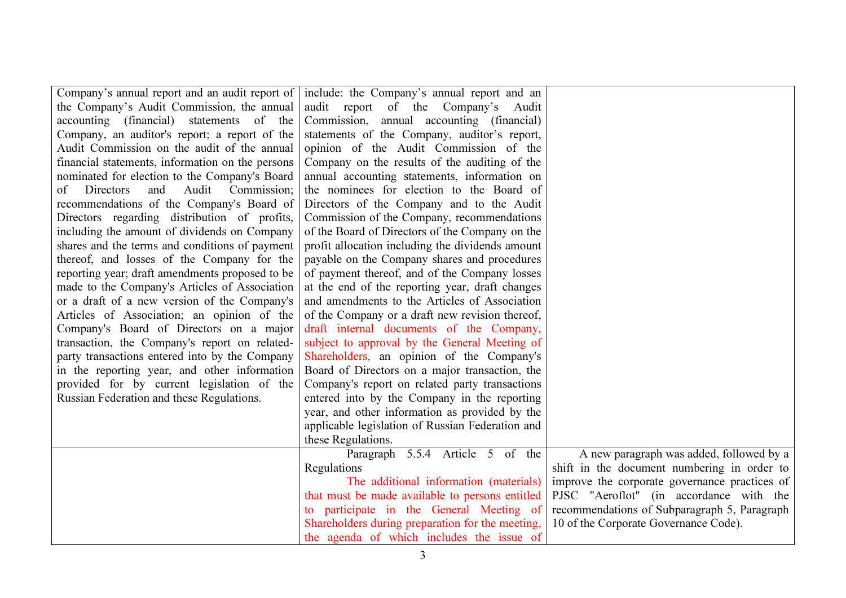| Company's annual report and an audit report of   | include: the Company's annual report and an      |                                               |
|--------------------------------------------------|--------------------------------------------------|-----------------------------------------------|
| the Company's Audit Commission, the annual       | audit report of the Company's Audit              |                                               |
| accounting (financial)<br>statements of the      | Commission, annual accounting (financial)        |                                               |
| Company, an auditor's report; a report of the    | statements of the Company, auditor's report,     |                                               |
| Audit Commission on the audit of the annual      | opinion of the Audit Commission of the           |                                               |
| financial statements, information on the persons | Company on the results of the auditing of the    |                                               |
| nominated for election to the Company's Board    | annual accounting statements, information on     |                                               |
| Audit<br>Commission;<br>Directors<br>and<br>of   | the nominees for election to the Board of        |                                               |
| recommendations of the Company's Board of        | Directors of the Company and to the Audit        |                                               |
| Directors regarding distribution of profits,     | Commission of the Company, recommendations       |                                               |
| including the amount of dividends on Company     | of the Board of Directors of the Company on the  |                                               |
| shares and the terms and conditions of payment   | profit allocation including the dividends amount |                                               |
| thereof, and losses of the Company for the       | payable on the Company shares and procedures     |                                               |
| reporting year; draft amendments proposed to be  | of payment thereof, and of the Company losses    |                                               |
| made to the Company's Articles of Association    | at the end of the reporting year, draft changes  |                                               |
| or a draft of a new version of the Company's     | and amendments to the Articles of Association    |                                               |
| Articles of Association; an opinion of the       | of the Company or a draft new revision thereof,  |                                               |
| Company's Board of Directors on a major          | draft internal documents of the Company,         |                                               |
| transaction, the Company's report on related-    | subject to approval by the General Meeting of    |                                               |
| party transactions entered into by the Company   | Shareholders, an opinion of the Company's        |                                               |
| in the reporting year, and other information     | Board of Directors on a major transaction, the   |                                               |
| provided for by current legislation of the       | Company's report on related party transactions   |                                               |
| Russian Federation and these Regulations.        | entered into by the Company in the reporting     |                                               |
|                                                  | year, and other information as provided by the   |                                               |
|                                                  | applicable legislation of Russian Federation and |                                               |
|                                                  | these Regulations.                               |                                               |
|                                                  | Paragraph 5.5.4 Article 5 of the                 | A new paragraph was added, followed by a      |
|                                                  | Regulations                                      | shift in the document numbering in order to   |
|                                                  | The additional information (materials)           | improve the corporate governance practices of |
|                                                  | that must be made available to persons entitled  | PJSC "Aeroflot" (in accordance with the       |
|                                                  | to participate in the General Meeting of         | recommendations of Subparagraph 5, Paragraph  |
|                                                  | Shareholders during preparation for the meeting, | 10 of the Corporate Governance Code).         |
|                                                  | the agenda of which includes the issue of        |                                               |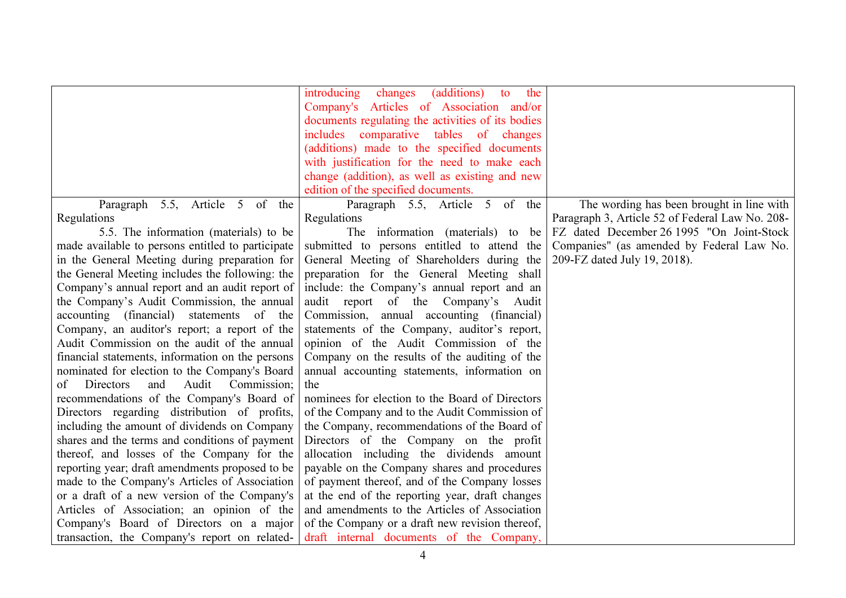|                                                   | (additions)<br>introducing<br>changes<br>the<br>to |                                                 |
|---------------------------------------------------|----------------------------------------------------|-------------------------------------------------|
|                                                   | Company's Articles of Association and/or           |                                                 |
|                                                   | documents regulating the activities of its bodies  |                                                 |
|                                                   | includes comparative tables of changes             |                                                 |
|                                                   | (additions) made to the specified documents        |                                                 |
|                                                   | with justification for the need to make each       |                                                 |
|                                                   | change (addition), as well as existing and new     |                                                 |
|                                                   | edition of the specified documents.                |                                                 |
| Paragraph 5.5, Article 5 of the                   | Paragraph 5.5, Article 5 of the                    | The wording has been brought in line with       |
| Regulations                                       | Regulations                                        | Paragraph 3, Article 52 of Federal Law No. 208- |
| 5.5. The information (materials) to be            | The information (materials) to be                  | FZ dated December 26 1995 "On Joint-Stock       |
| made available to persons entitled to participate | submitted to persons entitled to attend the        | Companies" (as amended by Federal Law No.       |
| in the General Meeting during preparation for     | General Meeting of Shareholders during the         | 209-FZ dated July 19, 2018).                    |
| the General Meeting includes the following: the   | preparation for the General Meeting shall          |                                                 |
| Company's annual report and an audit report of    | include: the Company's annual report and an        |                                                 |
| the Company's Audit Commission, the annual        | audit report of the Company's<br>Audit             |                                                 |
| accounting (financial) statements of the          | Commission, annual accounting (financial)          |                                                 |
| Company, an auditor's report; a report of the     | statements of the Company, auditor's report,       |                                                 |
| Audit Commission on the audit of the annual       | opinion of the Audit Commission of the             |                                                 |
| financial statements, information on the persons  | Company on the results of the auditing of the      |                                                 |
| nominated for election to the Company's Board     | annual accounting statements, information on       |                                                 |
| Audit Commission;<br>Directors<br>and<br>of       | the                                                |                                                 |
| recommendations of the Company's Board of         | nominees for election to the Board of Directors    |                                                 |
| Directors regarding distribution of profits,      | of the Company and to the Audit Commission of      |                                                 |
| including the amount of dividends on Company      | the Company, recommendations of the Board of       |                                                 |
| shares and the terms and conditions of payment    | Directors of the Company on the profit             |                                                 |
| thereof, and losses of the Company for the        | allocation including the dividends amount          |                                                 |
| reporting year; draft amendments proposed to be   | payable on the Company shares and procedures       |                                                 |
| made to the Company's Articles of Association     | of payment thereof, and of the Company losses      |                                                 |
| or a draft of a new version of the Company's      | at the end of the reporting year, draft changes    |                                                 |
| Articles of Association; an opinion of the        | and amendments to the Articles of Association      |                                                 |
| Company's Board of Directors on a major           | of the Company or a draft new revision thereof,    |                                                 |
| transaction, the Company's report on related-     | draft internal documents of the Company,           |                                                 |